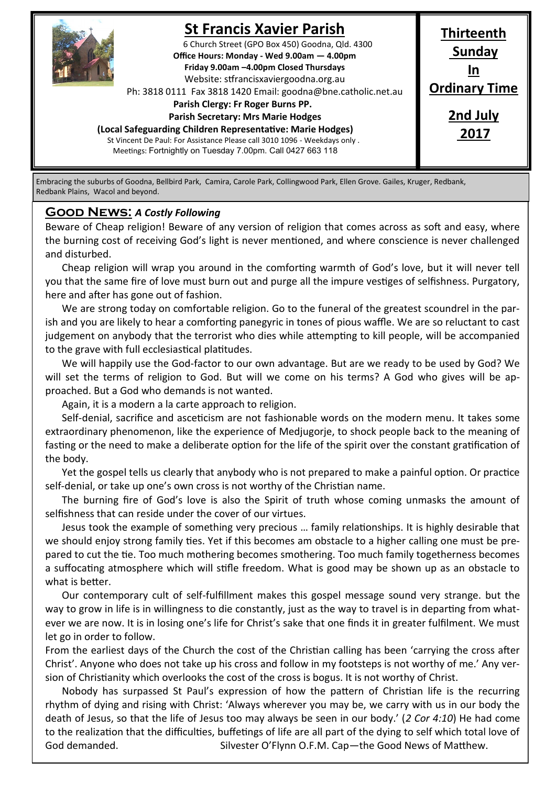

# **St Francis Xavier Parish**

6 Church Street (GPO Box 450) Goodna, Qld. 4300 **Office Hours: Monday - Wed 9.00am — 4.00pm Friday 9.00am –4.00pm Closed Thursdays**  Website: stfrancisxaviergoodna.org.au

Ph: 3818 0111 Fax 3818 1420 Email: goodna@bne.catholic.net.au

 **Parish Clergy: Fr Roger Burns PP.** 

#### **Parish Secretary: Mrs Marie Hodges**

**(Local Safeguarding Children Representative: Marie Hodges)**

St Vincent De Paul: For Assistance Please call 3010 1096 - Weekdays only . Meetings: Fortnightly on Tuesday 7.00pm. Call 0427 663 118

**Thirteenth Sunday In Ordinary Time 2nd July**

**2017**

Embracing the suburbs of Goodna, Bellbird Park, Camira, Carole Park, Collingwood Park, Ellen Grove. Gailes, Kruger, Redbank, Redbank Plains, Wacol and beyond.

#### **Good News:** *A Costly Following*

Beware of Cheap religion! Beware of any version of religion that comes across as soft and easy, where the burning cost of receiving God's light is never mentioned, and where conscience is never challenged and disturbed.

Cheap religion will wrap you around in the comforting warmth of God's love, but it will never tell you that the same fire of love must burn out and purge all the impure vestiges of selfishness. Purgatory, here and after has gone out of fashion.

We are strong today on comfortable religion. Go to the funeral of the greatest scoundrel in the parish and you are likely to hear a comforting panegyric in tones of pious waffle. We are so reluctant to cast judgement on anybody that the terrorist who dies while attempting to kill people, will be accompanied to the grave with full ecclesiastical platitudes.

We will happily use the God-factor to our own advantage. But are we ready to be used by God? We will set the terms of religion to God. But will we come on his terms? A God who gives will be approached. But a God who demands is not wanted.

Again, it is a modern a la carte approach to religion.

Self-denial, sacrifice and asceticism are not fashionable words on the modern menu. It takes some extraordinary phenomenon, like the experience of Medjugorje, to shock people back to the meaning of fasting or the need to make a deliberate option for the life of the spirit over the constant gratification of the body.

Yet the gospel tells us clearly that anybody who is not prepared to make a painful option. Or practice self-denial, or take up one's own cross is not worthy of the Christian name.

The burning fire of God's love is also the Spirit of truth whose coming unmasks the amount of selfishness that can reside under the cover of our virtues.

Jesus took the example of something very precious … family relationships. It is highly desirable that we should enjoy strong family ties. Yet if this becomes am obstacle to a higher calling one must be prepared to cut the tie. Too much mothering becomes smothering. Too much family togetherness becomes a suffocating atmosphere which will stifle freedom. What is good may be shown up as an obstacle to what is better.

Our contemporary cult of self-fulfillment makes this gospel message sound very strange. but the way to grow in life is in willingness to die constantly, just as the way to travel is in departing from whatever we are now. It is in losing one's life for Christ's sake that one finds it in greater fulfilment. We must let go in order to follow.

From the earliest days of the Church the cost of the Christian calling has been 'carrying the cross after Christ'. Anyone who does not take up his cross and follow in my footsteps is not worthy of me.' Any version of Christianity which overlooks the cost of the cross is bogus. It is not worthy of Christ.

Nobody has surpassed St Paul's expression of how the pattern of Christian life is the recurring rhythm of dying and rising with Christ: 'Always wherever you may be, we carry with us in our body the death of Jesus, so that the life of Jesus too may always be seen in our body.' (*2 Cor 4:10*) He had come to the realization that the difficulties, buffetings of life are all part of the dying to self which total love of God demanded. Silvester O'Flynn O.F.M. Cap—the Good News of Matthew.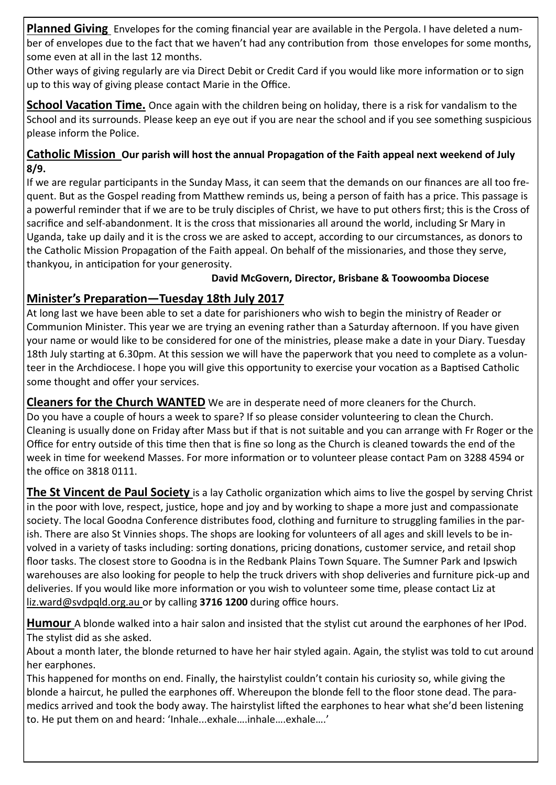**Planned Giving** Envelopes for the coming financial year are available in the Pergola. I have deleted a number of envelopes due to the fact that we haven't had any contribution from those envelopes for some months, some even at all in the last 12 months.

Other ways of giving regularly are via Direct Debit or Credit Card if you would like more information or to sign up to this way of giving please contact Marie in the Office.

**School Vacation Time.** Once again with the children being on holiday, there is a risk for vandalism to the School and its surrounds. Please keep an eye out if you are near the school and if you see something suspicious please inform the Police.

### **Catholic Mission Our parish will host the annual Propagation of the Faith appeal next weekend of July 8/9.**

If we are regular participants in the Sunday Mass, it can seem that the demands on our finances are all too frequent. But as the Gospel reading from Matthew reminds us, being a person of faith has a price. This passage is a powerful reminder that if we are to be truly disciples of Christ, we have to put others first; this is the Cross of sacrifice and self-abandonment. It is the cross that missionaries all around the world, including Sr Mary in Uganda, take up daily and it is the cross we are asked to accept, according to our circumstances, as donors to the Catholic Mission Propagation of the Faith appeal. On behalf of the missionaries, and those they serve, thankyou, in anticipation for your generosity.

### **David McGovern, Director, Brisbane & Toowoomba Diocese**

### **Minister's Preparation—Tuesday 18th July 2017**

At long last we have been able to set a date for parishioners who wish to begin the ministry of Reader or Communion Minister. This year we are trying an evening rather than a Saturday afternoon. If you have given your name or would like to be considered for one of the ministries, please make a date in your Diary. Tuesday 18th July starting at 6.30pm. At this session we will have the paperwork that you need to complete as a volunteer in the Archdiocese. I hope you will give this opportunity to exercise your vocation as a Baptised Catholic some thought and offer your services.

**Cleaners for the Church WANTED** We are in desperate need of more cleaners for the Church. Do you have a couple of hours a week to spare? If so please consider volunteering to clean the Church. Cleaning is usually done on Friday after Mass but if that is not suitable and you can arrange with Fr Roger or the Office for entry outside of this time then that is fine so long as the Church is cleaned towards the end of the week in time for weekend Masses. For more information or to volunteer please contact Pam on 3288 4594 or

the office on 3818 0111.

**The St Vincent de Paul Society** is a lay Catholic organization which aims to live the gospel by serving Christ in the poor with love, respect, justice, hope and joy and by working to shape a more just and compassionate society. The local Goodna Conference distributes food, clothing and furniture to struggling families in the parish. There are also St Vinnies shops. The shops are looking for volunteers of all ages and skill levels to be involved in a variety of tasks including: sorting donations, pricing donations, customer service, and retail shop floor tasks. The closest store to Goodna is in the Redbank Plains Town Square. The Sumner Park and Ipswich warehouses are also looking for people to help the truck drivers with shop deliveries and furniture pick-up and deliveries. If you would like more information or you wish to volunteer some time, please contact Liz at liz.ward@svdpqld.org.au or by calling **3716 1200** during office hours.

**Humour** A blonde walked into a hair salon and insisted that the stylist cut around the earphones of her IPod. The stylist did as she asked.

About a month later, the blonde returned to have her hair styled again. Again, the stylist was told to cut around her earphones.

This happened for months on end. Finally, the hairstylist couldn't contain his curiosity so, while giving the blonde a haircut, he pulled the earphones off. Whereupon the blonde fell to the floor stone dead. The paramedics arrived and took the body away. The hairstylist lifted the earphones to hear what she'd been listening to. He put them on and heard: 'Inhale...exhale....inhale....exhale....'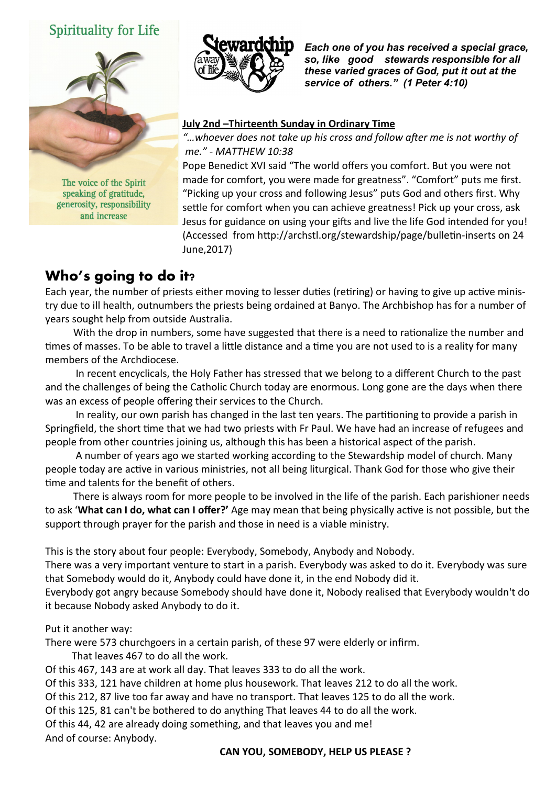## **Spirituality for Life**



The voice of the Spirit speaking of gratitude, generosity, responsibility and increase



*Each one of you has received a special grace, so, like good stewards responsible for all these varied graces of God, put it out at the service of others." (1 Peter 4:10)* 

#### **July 2nd –Thirteenth Sunday in Ordinary Time**

*"…whoever does not take up his cross and follow after me is not worthy of me."* - *MATTHEW 10:38*

Pope Benedict XVI said "The world offers you comfort. But you were not made for comfort, you were made for greatness". "Comfort" puts me first. "Picking up your cross and following Jesus" puts God and others first. Why settle for comfort when you can achieve greatness! Pick up your cross, ask Jesus for guidance on using your gifts and live the life God intended for you! (Accessed from http://archstl.org/stewardship/page/bulletin-inserts on 24 June,2017)

# **Who's going to do it?**

Each year, the number of priests either moving to lesser duties (retiring) or having to give up active ministry due to ill health, outnumbers the priests being ordained at Banyo. The Archbishop has for a number of years sought help from outside Australia.

 With the drop in numbers, some have suggested that there is a need to rationalize the number and times of masses. To be able to travel a little distance and a time you are not used to is a reality for many members of the Archdiocese.

 In recent encyclicals, the Holy Father has stressed that we belong to a different Church to the past and the challenges of being the Catholic Church today are enormous. Long gone are the days when there was an excess of people offering their services to the Church.

 In reality, our own parish has changed in the last ten years. The partitioning to provide a parish in Springfield, the short time that we had two priests with Fr Paul. We have had an increase of refugees and people from other countries joining us, although this has been a historical aspect of the parish.

 A number of years ago we started working according to the Stewardship model of church. Many people today are active in various ministries, not all being liturgical. Thank God for those who give their time and talents for the benefit of others.

 There is always room for more people to be involved in the life of the parish. Each parishioner needs to ask '**What can I do, what can I offer?'** Age may mean that being physically active is not possible, but the support through prayer for the parish and those in need is a viable ministry.

This is the story about four people: Everybody, Somebody, Anybody and Nobody.

There was a very important venture to start in a parish. Everybody was asked to do it. Everybody was sure that Somebody would do it, Anybody could have done it, in the end Nobody did it.

Everybody got angry because Somebody should have done it, Nobody realised that Everybody wouldn't do it because Nobody asked Anybody to do it.

Put it another way:

There were 573 churchgoers in a certain parish, of these 97 were elderly or infirm.

That leaves 467 to do all the work.

Of this 467, 143 are at work all day. That leaves 333 to do all the work.

Of this 333, 121 have children at home plus housework. That leaves 212 to do all the work.

Of this 212, 87 live too far away and have no transport. That leaves 125 to do all the work.

Of this 125, 81 can't be bothered to do anything That leaves 44 to do all the work.

Of this 44, 42 are already doing something, and that leaves you and me! And of course: Anybody.

**CAN YOU, SOMEBODY, HELP US PLEASE ?**